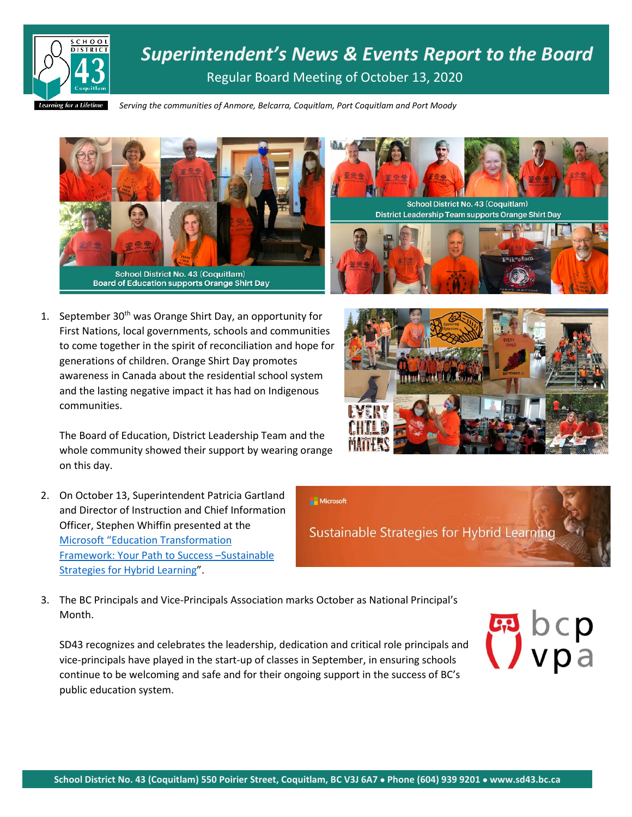

*Superintendent's News & Events Report to the Board* Regular Board Meeting of October 13, 2020

*Serving the communities of Anmore, Belcarra, Coquitlam, Port Coquitlam and Port Moody*



1. September  $30<sup>th</sup>$  was Orange Shirt Day, an opportunity for First Nations, local governments, schools and communities to come together in the spirit of reconciliation and hope for generations of children. Orange Shirt Day promotes awareness in Canada about the residential school system and the lasting negative impact it has had on Indigenous communities.

The Board of Education, District Leadership Team and the whole community showed their support by wearing orange on this day.

- 2. On October 13, Superintendent Patricia Gartland and Director of Instruction and Chief Information Officer, Stephen Whiffin presented at the [Microsoft "Education Transformation](https://microsoftedu.eventbuilder.com/event/31095)  [Framework: Your Path to Success](https://microsoftedu.eventbuilder.com/event/31095) –Sustainable [Strategies for Hybrid Learning"](https://microsoftedu.eventbuilder.com/event/31095).
- 3. The BC Principals and Vice-Principals Association marks October as National Principal's Month.

SD43 recognizes and celebrates the leadership, dedication and critical role principals and vice-principals have played in the start-up of classes in September, in ensuring schools continue to be welcoming and safe and for their ongoing support in the success of BC's public education system.





School District No. 43 (Coquitlam) District Leadership Team supports Orange Shirt Day



Sustainable Strategies for Hybrid Learning

Microsoft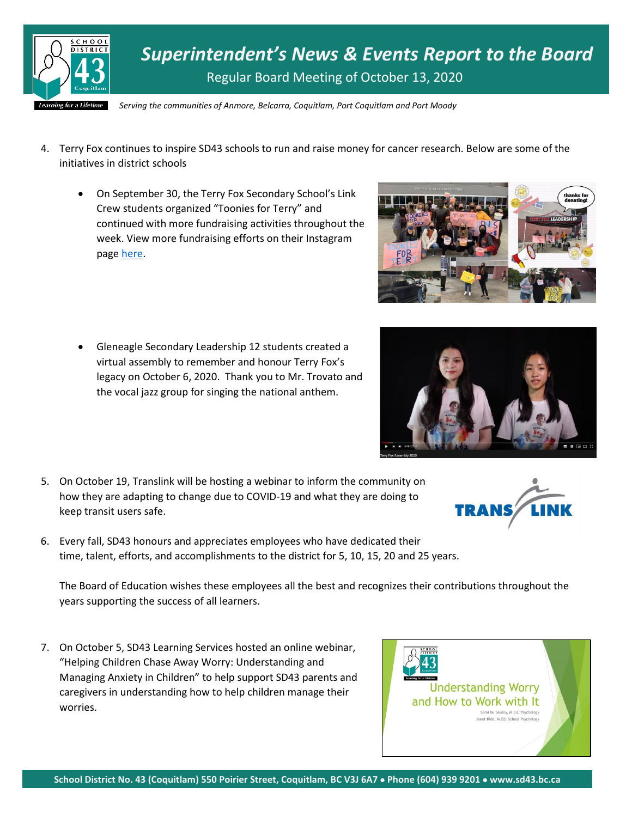

*Superintendent's News & Events Report to the Board* Regular Board Meeting of October 13, 2020

*Serving the communities of Anmore, Belcarra, Coquitlam, Port Coquitlam and Port Moody*

- 4. Terry Fox continues to inspire SD43 schools to run and raise money for cancer research. Below are some of the initiatives in district schools
	- On September 30, the Terry Fox Secondary School's Link Crew students organized "Toonies for Terry" and continued with more fundraising activities throughout the week. View more fundraising efforts on their Instagram page [here.](https://www.instagram.com/tfsraven/)
	- Gleneagle Secondary Leadership 12 students created a virtual assembly to remember and honour Terry Fox's legacy on October 6, 2020. Thank you to Mr. Trovato and the vocal jazz group for singing the national anthem.
- 5. On October 19, Translink will be hosting a webinar to inform the community on how they are adapting to change due to COVID-19 and what they are doing to keep transit users safe.
- 6. Every fall, SD43 honours and appreciates employees who have dedicated their time, talent, efforts, and accomplishments to the district for 5, 10, 15, 20 and 25 years.

The Board of Education wishes these employees all the best and recognizes their contributions throughout the years supporting the success of all learners.

7. On October 5, SD43 Learning Services hosted an online webinar, "Helping Children Chase Away Worry: Understanding and Managing Anxiety in Children" to help support SD43 parents and caregivers in understanding how to help children manage their worries.